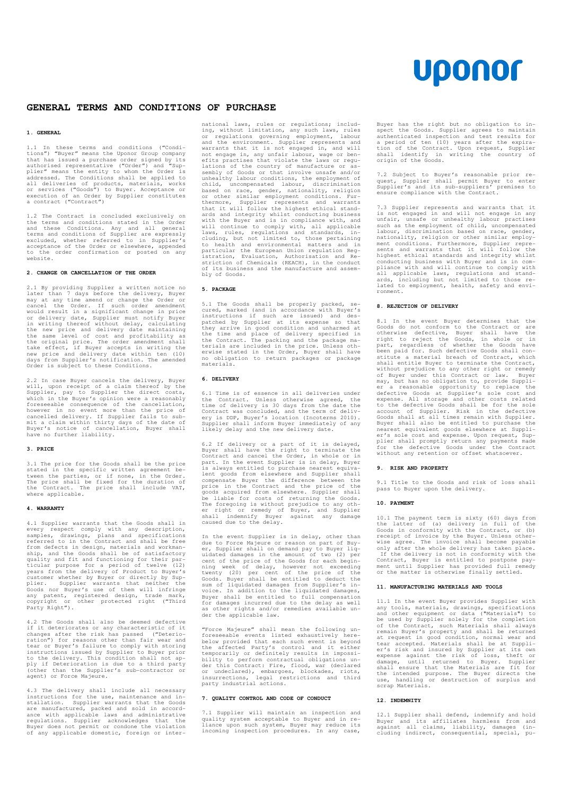# Uponor

## **GENERAL TERMS AND CONDITIONS OF PURCHASE**

## **1. GENERAL**

1.1 In these terms and conditions ("Condi-<br>tions") "Buyer" means the Uponor Group company<br>that has issued a purchase order signed by its<br>authorised representative ("Order") and "Supplier" means the entity to whom the Order is<br>addressed. The Conditions shall be applied to<br>all deliveries of products, materials, works<br>or services ("Goods") to Buyer. Acceptance or execution of an Order by Supplier constitutes a contract ("Contract")

1.2 The Contract is concluded exclusively on the terms and conditions stated in the Order and these Conditions. Any and all general terms and conditions of Supplier are expressly excluded, whether referred to in Supplier's acceptance of the Order or elsewhere, appended to the order confirmation or posted on any website.

## **2. CHANGE OR CANCELLATION OF THE ORDER**

2.1 By providing Supplier a written notice no later than 7 days before the delivery, Buyer may at any time amend or change the Order or cancel the Order. If such order amendment would result in a significant change in price or delivery date, Supplier must notify Buyer<br>in writing thereof without delay, calculating<br>the new price and delivery date maintaining<br>the same level of cost and profitability as<br>the original price. The order mendment shal new price and delivery date within ten (10) days from Supplier's notification. The amended Order is subject to these Conditions.

2.2 In case Buyer cancels the delivery, Buyer will, upon receipt of a claim thereof by the Supplier, pay to Supplier the direct costs, which in the Buyer's opinion were a reasonably foreseeable consequence of the cancellation,<br>however in no event more than the price of<br>cancelled delivery. If Supplier fails to sub-<br>mit a claim within thirty days of the date of<br>Buyer's notice of cancellation, Buyer shal have no further liability.

## **3. PRICE**

3.1 The price for the Goods shall be the price<br>stated in the specific written agreement be-<br>tween the parties, or if none, in the Order.<br>The price shall be fixed for the duration of<br>the Contract. The price shall include VA

#### **4. WARRANTY**

4.1 Supplier warrants that the Goods shall in every respect comply with any description, samples, drawings, plans and specifications referred to in the Contract and shall be free from defects in design, materials and workman-<br>ship, and the Goods shall be of satisfactory<br>quality and fit and functioning for their par-<br>ticular purpose for a period of twelve (12)<br>years from the delivery of Product to B

4.2 The Goods shall also be deemed defective<br>if it deteriorates or any characteristic of it<br>changes after the risk has passed ("Deterioriation") for reasons other than fair wear and<br>tear or Buyer's failure to comply with s

4.3 The delivery shall include all necessary instructions for the use, maintenance and in-stallation. Supplier warrants that the Goods are manufactured, packed and sold in accordance with applicable laws and administrative regulations. Supplier acknowledges that the Buyer does not permit or condone the violation of any applicable domestic, foreign or international laws, rules or regulations; includ-<br>ing, without limitation, any such laws, rules<br>or regulations governing employment, labour<br>and the environment. Supplier represents and<br>warrants that it is not engaged in, and wi efits practises that violate the laws or regu-lations of the country of manufacture or as-sembly of Goods or that involve unsafe and/or unhealthy labour conditions, the employment of<br>child, uncompensated labour, discrimination<br>based on race, gender, nationality, religion<br>or other similar employment conditions. Fur-<br>thermore, Supplier represents and warrant

#### **5. PACKAGE**

5.1 The Goods shall be properly packed, se-<br>cured, marked (and in accordance with Buyer's<br>instructions if such are issued) and des-<br>patched by Supplier at its expense so that<br>they arrive in good condition and unharmed at<br>t terials are included in the price. Unless oth-erwise stated in the Order, Buyer shall have no obligation to return packages or package materials.

## **6. DELIVERY**

6.1 Time is of essence in all deliveries under the Contract. Unless otherwise agreed, the time of delivery is 30 days from the date the Contract was concluded, and the term of delivery is DDP, Buyer's location (Incoterms 2010). Supplier shall inform Buyer immediately of any likely delay and the new delivery date.

6.2 If delivery or a part of it is delayed, Buyer shall have the right to terminate the Contract and cancel the Order, in whole or in part. In the event Supplier is in delay, Buyer is always entitled to purchase nearest equiva-lent goods from elsewhere and Supplier shall compensate Buyer the difference between the price in the Contract and the price of the goods acquired from elsewhere. Supplier shall<br>be liable for costs of returning the Goods.<br>The foregoing is without prejudice to any other<br>right or remedy of Buyer, and Supplier<br>shall indemnify Buyer against any damage<br>caus

In the event Supplier is in delay, other than due to Force Majeure or reason on part of Buy-er, Supplier shall on demand pay to Buyer liq-uidated damages in the amount of two (2) per cent of the price of the Goods for each begin-ning week of delay, however not exceeding twenty (20) per cent of the price of the Goods. Buyer shall be entitled to deduct the sum of liquidated damages from Supplier's in-voice. In addition to the liquidated damages, Buyer shall be entitled to full compensation for damages incurred due to the delay as well as other rights and/or remedies available un-der the applicable law.

"Force Majeure" shall mean the following un-<br>foreseeable events listed exhaustively here-<br>below provided that each such event is beyond<br>the affected Party's control and it either<br>temporarily or definitely results in imposs

## **7. QUALITY CONTROL AND CODE OF CONDUCT**

7.1 Supplier will maintain an inspection and quality system acceptable to Buyer and in re-liance upon such system, Buyer may reduce its incoming inspection procedures. In any case,

Buyer has the right but no obligation to in-<br>spect the Goods. Supplier agrees to maintain<br>authenticated inspection and test results for<br>a period of ten (10) years after the expira-<br>tion of the Contract. Upon request, Suppl origin of the Goods.

7.2 Subject to Buyer's reasonable prior re-quest, Supplier shall permit Buyer to enter Supplier's and its sub-suppliers' premises to ensure compliance with the Contract.

7.3 Supplier represents and warrants that it is not engaged in and will not engage in any unfair, unsafe or unhealthy labour practises such as the employment of child, uncompensated labour, discrimination based on race, gender, nationality, religion or other similar employment conditions. Furthermore, Supplier repre-<br>sents and warrants that it will follow the<br>highest ethical standards and integrity whilst<br>conducting business with Buyer and is in ronment.

## **8. REJECTION OF DELIVERY**

8.1 In the event Buyer determines that the Goods do not conform to the otherwise defective, Buyer shall have the right to reject the Goods, in whole or in part, regardless of whether the Goods have been paid for. Such defective Goods shall constitute a material breach of Contract, which<br>shall entile Buyer to terminate the Contract,<br>without prejudice to any other right or remedy<br>of Buyer under this Contract or law. Bu er a reasonable opportunity to replace the defective Goods at Supplier's sole cost and expense. All storage and other costs related to the defective Goods shall be for the sole account of Supplier. Risk in the defective Goods shall at all times remain with Supplier. Buyer shall also be entitled to purchase the<br>nearest equivalent goods elsewhere at Suppli-<br>er's sole cost and expense. Upon request, Sup-<br>plier shall promptly return any payments made<br>for the defective Goods under the Cont

#### **9. RISK AND PROPERTY**

9.1 Title to the Goods and risk of loss shall pass to Buyer upon the delivery.

#### **10. PAYMENT**

10.1 The payment term is sixty (60) days from the latter of (a) delivery in full of the Goods in conformity with the Contract, or (b) receipt of invoice by the Buyer. Unless other-wise agree. The invoice shall become payable only after the whole delivery has taken place.<br>If the delivery is not in conformity with the<br>Contract, Buyer is entitled to postpone pay-<br>ment until Supplier has provided full remedy<br>or the matter is otherwise finally sett

#### **11. MANUFACTURING MATERIALS AND TOOLS**

11.1 In the event Buyer provides Supplier with<br>and other equipment or data ("Materials", specifications<br>and other equipment or data ("Materials") to<br>be used by Supplier solely for the completion<br>of the Contract, such Mater shall ensure that the Materials are fit for the intended purpose. The Buyer directs the use, handling or destruction of surplus and scrap Materials.

## **12. INDEMNITY**

12.1 Supplier shall defend, indemnify and hold Buyer and its affiliates harmless from and against all claims, liability, damages (in-cluding indirect, consequential, special, pu-